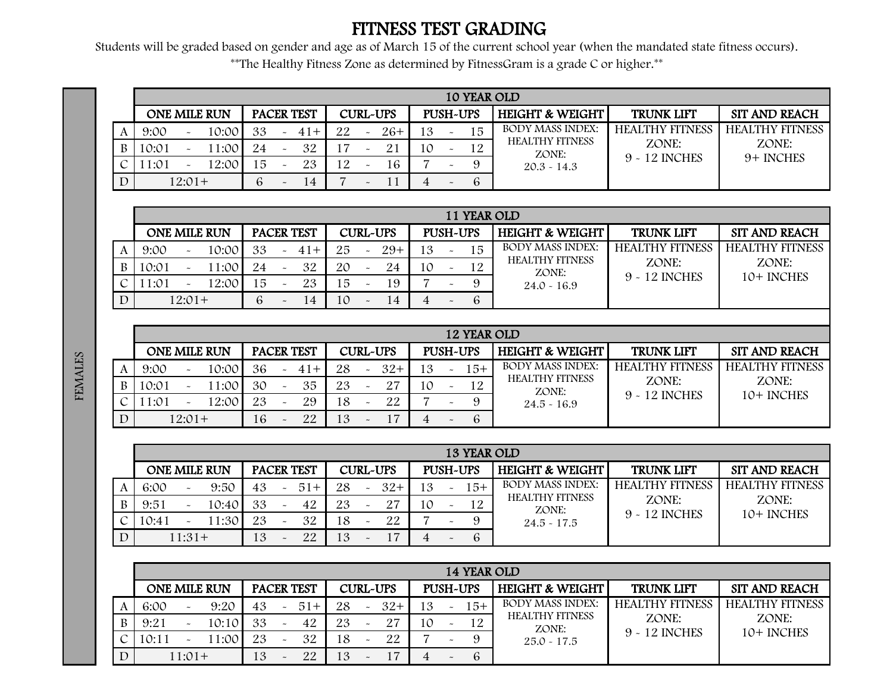## FITNESS TEST GRADING

Students will be graded based on gender and age as of March 15 of the current school year (when the mandated state fitness occurs). \*\*The Healthy Fitness Zone as determined by FitnessGram is a grade C or higher.\*\*

|   |        |                           |                     |     |                           |            |    |                       |                 |    |                       |              | 10 YEAR OLD                     |                        |                        |
|---|--------|---------------------------|---------------------|-----|---------------------------|------------|----|-----------------------|-----------------|----|-----------------------|--------------|---------------------------------|------------------------|------------------------|
|   |        |                           | <b>ONE MILE RUN</b> |     |                           | PACER TEST |    |                       | <b>CURL-UPS</b> |    | PUSH-UPS              |              | <b>HEIGHT &amp; WEIGHT</b>      | <b>TRUNK LIFT</b>      | <b>SIT AND REACH</b>   |
|   | 9:00   | $\widetilde{\phantom{m}}$ | 10:00               | 33  | $\thicksim$               | $41+$      | 22 |                       | $26+$           | 13 | $\tilde{\phantom{a}}$ | 15           | <b>BODY MASS INDEX:</b>         | <b>HEALTHY FITNESS</b> | <b>HEALTHY FITNESS</b> |
| B | 10:01  | $\sim$                    | 1:00                | 2.4 | $\widetilde{\phantom{m}}$ | 32         |    |                       |                 | 10 | $\tilde{\phantom{a}}$ | 12           | <b>HEALTHY FITNESS</b><br>ZONE: | ZONE:                  | ZONE:                  |
|   | l 1:01 | $\tilde{\phantom{a}}$     | 12:00               | 15  | $\tilde{\phantom{a}}$     | 23         | 12 |                       | 16              |    | $\tilde{\phantom{a}}$ | $\mathbf{o}$ | $20.3 - 14.3$                   | 9 - 12 INCHES          | 9+ INCHES              |
|   |        | $12:01+$                  |                     |     | $\tilde{}$                | 14         |    | $\tilde{\phantom{a}}$ |                 |    | $\tilde{\phantom{a}}$ | 6            |                                 |                        |                        |

|             |       |          |              |    |            |    |                       |                 |    |                       | 11 YEAR OLD |                                 |                        |                        |
|-------------|-------|----------|--------------|----|------------|----|-----------------------|-----------------|----|-----------------------|-------------|---------------------------------|------------------------|------------------------|
|             |       |          | ONE MILE RUN |    | PACER TEST |    |                       | <b>CURL-UPS</b> |    | PUSH-UPS              |             | <b>HEIGHT &amp; WEIGHT</b>      | <b>TRUNK LIFT</b>      | <b>SIT AND REACH</b>   |
|             | 9:00  |          | 10:00        | 33 | $41+$      | 25 | $\tilde{\phantom{a}}$ | $29+$           | 13 | $\sim$                | 15          | <b>BODY MASS INDEX:</b>         | <b>HEALTHY FITNESS</b> | <b>HEALTHY FITNESS</b> |
|             | 10:01 |          | 11:00        | 24 | 32         | 20 | $\tilde{\phantom{a}}$ | 24              | 10 | $\tilde{\phantom{a}}$ | 12          | <b>HEALTHY FITNESS</b><br>ZONE: | ZONE:                  | ZONE:                  |
|             | 1:01  |          | 12:00        | 15 | 23         | .5 |                       | 19              |    |                       | $\mathbf Q$ | $24.0 - 16.9$                   | 9 - 12 INCHES          | 10+ INCHES             |
| $\mathbf D$ |       | $12:01+$ |              | 6  | 14         | 10 | $\tilde{\phantom{a}}$ | 14              |    |                       | 6           |                                 |                        |                        |

|   |                     |                           |       |    |             |            |    |                 |     |                       | <b>12 YEAR OLD</b> |                                 |                        |                        |
|---|---------------------|---------------------------|-------|----|-------------|------------|----|-----------------|-----|-----------------------|--------------------|---------------------------------|------------------------|------------------------|
|   | <b>ONE MILE RUN</b> |                           |       |    |             | PACER TEST |    | <b>CURL-UPS</b> |     |                       | PUSH-UPS           | <b>HEIGHT &amp; WEIGHT</b>      | <b>TRUNK LIFT</b>      | <b>SIT AND REACH</b>   |
|   | 9:00                | $\widetilde{\phantom{m}}$ | 10:00 | 36 | $\sim$      | $41+$      | 28 | $32+$           | 13. | $\thicksim$           | 15+                | <b>BODY MASS INDEX:</b>         | <b>HEALTHY FITNESS</b> | <b>HEALTHY FITNESS</b> |
| B | 10:01               |                           | 1:00  | 30 | $\thicksim$ | 35         | 23 |                 | 10  | $\tilde{\phantom{a}}$ | 12                 | <b>HEALTHY FITNESS</b><br>ZONE: | ZONE:                  | ZONE:                  |
|   | 1:01                |                           | 2:00  | 23 | $\sim$      | 29         | 18 | 22              |     | $\tilde{\phantom{a}}$ | q                  | $24.5 - 16.9$                   | 9 - 12 INCHES          | 10+ INCHES             |
|   |                     | $12:01+$                  |       |    | $\sim$      | 22         | 13 |                 |     | $\tilde{\phantom{a}}$ | 6                  |                                 |                        |                        |

|          |                     |                           |       |    |                       |            |    |                       |                 |    |                       | <b>13 YEAR OLD</b> |                                 |                        |                        |
|----------|---------------------|---------------------------|-------|----|-----------------------|------------|----|-----------------------|-----------------|----|-----------------------|--------------------|---------------------------------|------------------------|------------------------|
|          | <b>ONE MILE RUN</b> |                           |       |    |                       | PACER TEST |    |                       | <b>CURL-UPS</b> |    |                       | PUSH-UPS           | HEIGHT & WEIGHT!                | <b>TRUNK LIFT</b>      | <b>SIT AND REACH</b>   |
|          | 6:00                | $\tilde{}$                | 9:50  | 43 | $\tilde{\phantom{a}}$ | $51+$      | 28 | $\tilde{\phantom{a}}$ | $32+$           | 13 | $\tilde{\phantom{a}}$ | $15+$              | <b>BODY MASS INDEX:</b>         | <b>HEALTHY FITNESS</b> | <b>HEALTHY FITNESS</b> |
|          | 9:51                | $\widetilde{\phantom{m}}$ | 10:40 | 33 | $\tilde{\phantom{a}}$ | 42         | 23 |                       | 27              | 10 | $\tilde{\phantom{a}}$ | 12                 | <b>HEALTHY FITNESS</b><br>ZONE: | ZONE:                  | ZONE:                  |
|          | 10:41               |                           | 11:30 | 23 | $\tilde{\phantom{a}}$ | 32         | 18 |                       | 22              |    |                       | $\Omega$           | $24.5 - 17.5$                   | 9 - 12 INCHES          | 10+ INCHES             |
| $\Gamma$ |                     | $11:31+$                  |       | 13 |                       | 22         | 13 |                       |                 |    |                       | 6                  |                                 |                        |                        |

|       |                       |                     |    |                       |            |    |                 |     |                           | 14 YEAR OLD |                                 |                        |                        |
|-------|-----------------------|---------------------|----|-----------------------|------------|----|-----------------|-----|---------------------------|-------------|---------------------------------|------------------------|------------------------|
|       |                       | <b>ONE MILE RUN</b> |    |                       | PACER TEST |    | <b>CURL-UPS</b> |     |                           | PUSH-UPS    | <b>HEIGHT &amp; WEIGHT</b>      | <b>TRUNK LIFT</b>      | <b>SIT AND REACH</b>   |
| 6:00  | $\tilde{\phantom{a}}$ | 9:20                | 43 | $\tilde{\phantom{a}}$ | $51+$      | 28 | $32+$           | 3   | $\widetilde{\phantom{m}}$ | 15+         | <b>BODY MASS INDEX:</b>         | <b>HEALTHY FITNESS</b> | <b>HEALTHY FITNESS</b> |
| 9:21  | $\tilde{}$            | 10:10               | 33 | $\tilde{\phantom{a}}$ | 42         | 23 | 27              | 1 O | $\tilde{\phantom{a}}$     | 12          | <b>HEALTHY FITNESS</b><br>ZONE: | ZONE:                  | ZONE:                  |
| 10:11 |                       | 1:00                | 23 | $\tilde{\phantom{m}}$ | 32         | 18 | 22              |     |                           | $\Omega$    | $25.0 - 17.5$                   | 9 - 12 INCHES          | 10+ INCHES             |
|       | $11:01+$              |                     | 13 | $\sim$                | 22         | 13 |                 |     |                           | $\mathbf b$ |                                 |                        |                        |